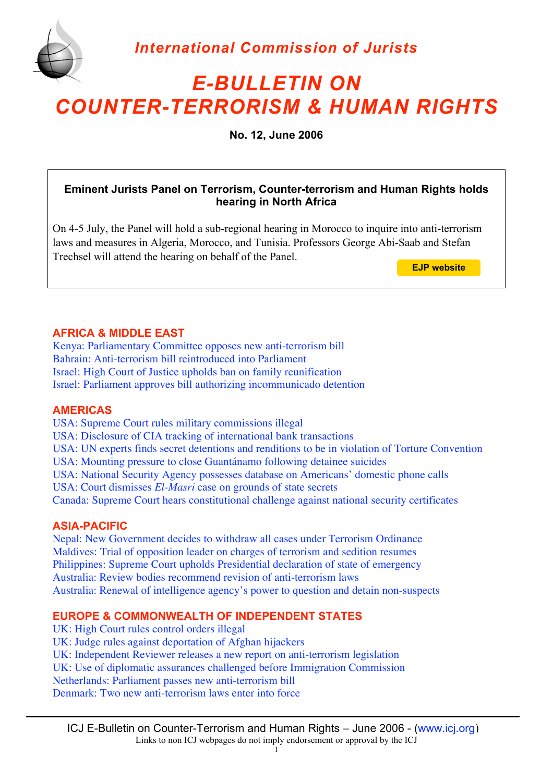



# *E-BULLETIN ON COUNTER-TERRORISM & HUMAN RIGHTS*

**No. 12, June 2006**

# **Eminent Jurists Panel on Terrorism, Counter-terrorism and Human Rights holds hearing in North Africa**

On 4-5 July, the Panel will hold a sub-regional hearing in Morocco to inquire into anti-terrorism laws and measures in Algeria, Morocco, and Tunisia. Professors George Abi-Saab and Stefan Trechsel will attend the hearing on behalf of the Panel.

**[EJP website](http://ejp.icj.org/)**

# **AFRICA & MIDDLE EAST**

Kenya: Parliamentary Committee opposes new anti-terrorism bill Bahrain: Anti-terrorism bill reintroduced into Parliament Israel: High Court of Justice upholds ban on family reunification Israel: Parliament approves bill authorizing incommunicado detention

# **AMERICAS**

USA: Supreme Court rules military commissions illegal USA: Disclosure of CIA tracking of international bank transactions USA: UN experts finds secret detentions and renditions to be in violation of Torture Convention USA: Mounting pressure to close Guantánamo following detainee suicides USA: National Security Agency possesses database on Americans' domestic phone calls USA: Court dismisses *El-Masri* case on grounds of state secrets Canada: Supreme Court hears constitutional challenge against national security certificates

# **ASIA-PACIFIC**

Nepal: New Government decides to withdraw all cases under Terrorism Ordinance Maldives: Trial of opposition leader on charges of terrorism and sedition resumes Philippines: Supreme Court upholds Presidential declaration of state of emergency Australia: Review bodies recommend revision of anti-terrorism laws Australia: Renewal of intelligence agency's power to question and detain non-suspects

# **EUROPE & COMMONWEALTH OF INDEPENDENT STATES**

UK: High Court rules control orders illegal UK: Judge rules against deportation of Afghan hijackers UK: Independent Reviewer releases a new report on anti-terrorism legislation UK: Use of diplomatic assurances challenged before Immigration Commission Netherlands: Parliament passes new anti-terrorism bill Denmark: Two new anti-terrorism laws enter into force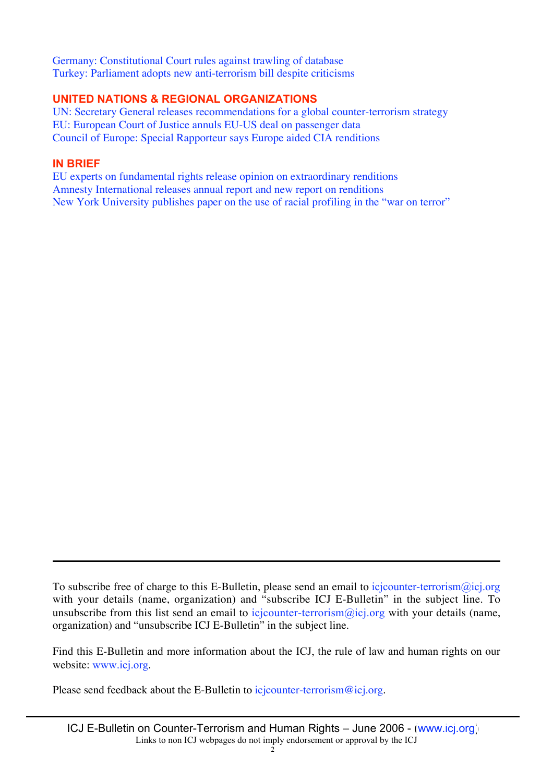Germany: Constitutional Court rules against trawling of database Turkey: Parliament adopts new anti-terrorism bill despite criticisms

# **UNITED NATIONS & REGIONAL ORGANIZATIONS**

UN: Secretary General releases recommendations for a global counter-terrorism strategy EU: European Court of Justice annuls EU-US deal on passenger data Council of Europe: Special Rapporteur says Europe aided CIA renditions

# **IN BRIEF**

EU experts on fundamental rights release opinion on extraordinary renditions Amnesty International releases annual report and new report on renditions New York University publishes paper on the use of racial profiling in the "war on terror"

To subscribe free of charge to this E-Bulletin, please send an email to icjcounter-terrorism@icj.org with your details (name, organization) and "subscribe ICJ E-Bulletin" in the subject line. To unsubscribe from this list send an email to icjcounter-terrorism $\omega$ icj.org with your details (name, organization) and "unsubscribe ICJ E-Bulletin" in the subject line.

Find this E-Bulletin and more information about the ICJ, the rule of law and human rights on our website: www.icj.org.

Please send feedback about the E-Bulletin to icjcounter-terrorism@icj.org.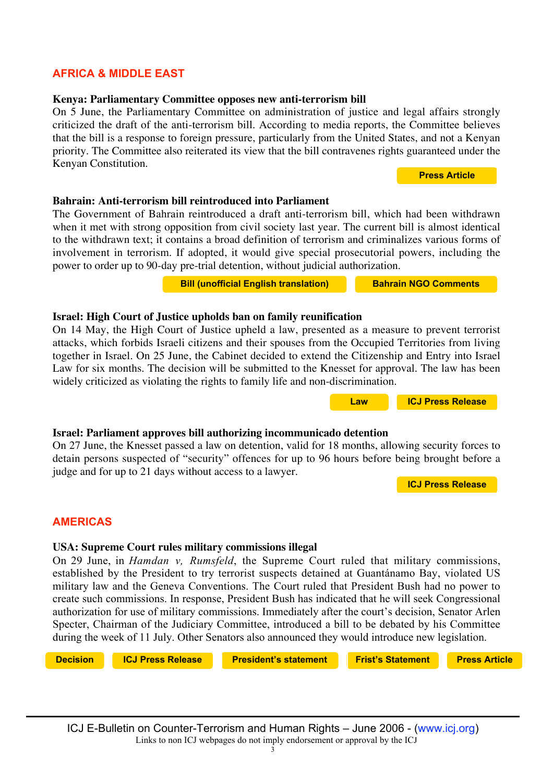# ICJ E-Bulletin on Counter-Terrorism and Human Rights – June 2006 - [\(www.icj.org\)](http://www.icj.org) Links to non ICJ webpages do not imply endorsement or approval by the ICJ

# **AFRICA & MIDDLE EAST**

# **Kenya: Parliamentary Committee opposes new anti-terrorism bill**

On 5 June, the Parliamentary Committee on administration of justice and legal affairs strongly criticized the draft of the anti-terrorism bill. According to media reports, the Committee believes that the bill is a response to foreign pressure, particularly from the United States, and not a Kenyan priority. The Committee also reiterated its view that the bill contravenes rights guaranteed under the Kenyan Constitution.

# **Bahrain: Anti-terrorism bill reintroduced into Parliament**

The Government of Bahrain reintroduced a draft anti-terrorism bill, which had been withdrawn when it met with strong opposition from civil society last year. The current bill is almost identical to the withdrawn text; it contains a broad definition of terrorism and criminalizes various forms of involvement in terrorism. If adopted, it would give special prosecutorial powers, including the power to order up to 90-day pre-trial detention, without judicial authorization.

**[Bill \(unofficial English translation\)](http://www.icj.org/IMG/BarainDraftCTLaw.pdf_-2.pdf) [Bahrain NGO Comments](http://www.icj.org/IMG/HAQremarksBahrainbill.pdf)** 

# **Israel: High Court of Justice upholds ban on family reunification**

On 14 May, the High Court of Justice upheld a law, presented as a measure to prevent terrorist attacks, which forbids Israeli citizens and their spouses from the Occupied Territories from living together in Israel. On 25 June, the Cabinet decided to extend the Citizenship and Entry into Israel Law for six months. The decision will be submitted to the Knesset for approval. The law has been widely criticized as violating the rights to family life and non-discrimination.

# **Israel: Parliament approves bill authorizing incommunicado detention**

On 27 June, the Knesset passed a law on detention, valid for 18 months, allowing security forces to detain persons suspected of "security" offences for up to 96 hours before being brought before a judge and for up to 21 days without access to a lawyer. **[ICJ Press Release](http://www.icj.org/news.php3?id_article=3948&lang=en)**

**AMERICAS**

# **USA: Supreme Court rules military commissions illegal**

On 29 June, in *Hamdan v, Rumsfeld*, the Supreme Court ruled that military commissions, established by the President to try terrorist suspects detained at Guantánamo Bay, violated US military law and the Geneva Conventions. The Court ruled that President Bush had no power to create such commissions. In response, President Bush has indicated that he will seek Congressional authorization for use of military commissions. Immediately after the court's decision, Senator Arlen Specter, Chairman of the Judiciary Committee, introduced a bill to be debated by his Committee during the week of 11 July. Other Senators also announced they would introduce new legislation.

**[Decision](http://www.icj.org/IMG/hamdandecision.pdf) [ICJ Press Release](http://www.icj.org/news.php3?id_article=3966&lang=en) [President's statement](http://www.whitehouse.gov/news/releases/2006/06/20060629-3.html) [Frist's Statement](http://frist.senate.gov/index.cfm?FuseAction=PressReleases.Detail&PressRelease_id=2462&Month=6&Year=2006)**

**statestatestatemt**

**[Press Article](http://jurist.law.pitt.edu/paperchase/2006/07/ok-senators-consider-new-processes-for.php)**



**[ICJ Press Release](http://www.icj.org/news.php3?id_article=3914&lang=en) Press News 2**

**Press News 2**

**[Press Article](http://allafrica.com/stories/200606060112.html)**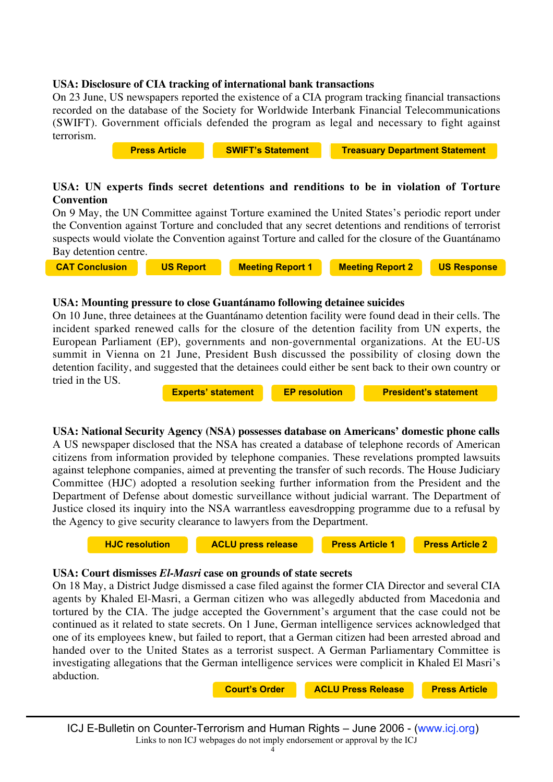### **USA: Disclosure of CIA tracking of international bank transactions**

On 23 June, US newspapers reported the existence of a CIA program tracking financial transactions recorded on the database of the Society for Worldwide Interbank Financial Telecommunications (SWIFT). Government officials defended the program as legal and necessary to fight against terrorism.

**USA: UN experts finds secret detentions and renditions to be in violation of Torture Convention** On 9 May, the UN Committee against Torture examined the United States's periodic report under **[Press Article](http://www.nytimes.com/2006/06/23/washington/23intel.html?_r=1&hp&ex=1151121600&en=18f9ed2cf37511d5&ei=5094&partner=homepage&oref=slogin) [SWIFT's Statement](http://www.swift.com/index.cfm?item_id=59897) [Treasuary Department Statement](http://www.treasury.gov/press/releases/js4332.htm)**

the Convention against Torture and concluded that any secret detentions and renditions of terrorist suspects would violate the Convention against Torture and called for the closure of the Guantánamo Bay detention centre.

**[CAT Conclusion](http://www.ohchr.org/english/bodies/cat/docs/AdvanceVersions/CAT.C.USA.CO.2.pdf) [US Report](http://www.state.gov/g/drl/rls/55504.htm) [Meeting Report 1](http://www.unog.ch/80256EDD006B9C2E/(httpNewsByYear_en)/921C1205D9271C5FC12571650037CC63?OpenDocument) [Meeting Report 2](http://www.unog.ch/unog/website/news_media.nsf/(httpNewsByYear_en)/7132714AF5A6F8F9C12571680033E0CE?OpenDocument)**

**[US Response](http://usinfo.state.gov/usinfo/Archive/2006/May/19-857719.html?chanlid=washfile)**

**rppeal**

### **USA: Mounting pressure to close Guantánamo following detainee suicides**

On 10 June, three detainees at the Guantánamo detention facility were found dead in their cells. The incident sparked renewed calls for the closure of the detention facility from UN experts, the European Parliament (EP), governments and non-governmental organizations. At the EU-US summit in Vienna on 21 June, President Bush discussed the possibility of closing down the detention facility, and suggested that the detainees could either be sent back to their own country or tried in the US.

**[Experts' statement](http://www.unhchr.ch/huricane/huricane.nsf/view01/D916F2EB424D1588C1257188004EDB76?opendocument) [EP resolution](http://www.europarl.europa.eu/omk/sipade3?TYPE-DOC=TA&REF=P6-TA-2006-0254&MODE=SIP&L=EN&LSTDOC=N) [President's statement](http://www.whitehouse.gov/news/releases/2006/06/20060621-6.html)** 

**USA: National Security Agency (NSA) possesses database on Americans' domestic phone calls** A US newspaper disclosed that the NSA has created a database of telephone records of American

citizens from information provided by telephone companies. These revelations prompted lawsuits against telephone companies, aimed at preventing the transfer of such records. The House Judiciary Committee (HJC) adopted a resolution seeking further information from the President and the Department of Defense about domestic surveillance without judicial warrant. The Department of Justice closed its inquiry into the NSA warrantless eavesdropping programme due to a refusal by the Agency to give security clearance to lawyers from the Department.

**[HJC resolution](http://thomas.loc.gov/home/gpoxmlc109/hr645_ih.xml) [ACLU press release](http://www.aclu.org/safefree/nsaspying/25685prs20060526.html) [Press Article 1](http://www.usatoday.com/news/washington/2006-05-10-nsa_x.htm?POE=click-refer) [Press Article 2](http://www.usatoday.com/news/washington/2006-05-11-domestic-spying_x.htm?csp=34)** 

#### **USA: Court dismisses** *El-Masri* **case on grounds of state secrets**

On 18 May, a District Judge dismissed a case filed against the former CIA Director and several CIA agents by Khaled El-Masri, a German citizen who was allegedly abducted from Macedonia and tortured by the CIA. The judge accepted the Government's argument that the case could not be continued as it related to state secrets. On 1 June, German intelligence services acknowledged that one of its employees knew, but failed to report, that a German citizen had been arrested abroad and handed over to the United States as a terrorist suspect. A German Parliamentary Committee is investigating allegations that the German intelligence services were complicit in Khaled El Masri's abduction.

**[Court's Order](http://www.icj.org/IMG/elMasriorder.pdf) | [ACLU Press Release](http://www.aclu.org/safefree/torture/25606prs20060519.html) | [Press Article](http://jurist.law.pitt.edu/paperchase/2006/06/german-spy-failed-to-report-el-masri.php)**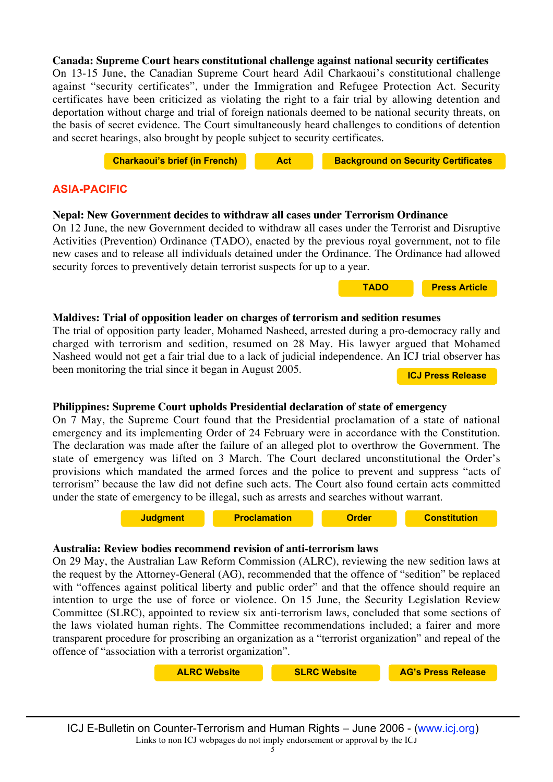### **Canada: Supreme Court hears constitutional challenge against national security certificates**

On 13-15 June, the Canadian Supreme Court heard Adil Charkaoui's constitutional challenge against "security certificates", under the Immigration and Refugee Protection Act. Security certificates have been criticized as violating the right to a fair trial by allowing detention and deportation without charge and trial of foreign nationals deemed to be national security threats, on the basis of secret evidence. The Court simultaneously heard challenges to conditions of detention and secret hearings, also brought by people subject to security certificates.

**[Charkaoui's brief \(in French\)](http://www.icj.org/IMG/pdf/charkaouistatement.pdf) [Act](http://laws.justice.gc.ca/en/I-2.5/index.html) [Background on Security Certificates](http://www.cbsa-asfc.gc.ca/newsroom/factsheets/2005/certificat-e.html)**

**[TADO](http://www.icj.org/IMG/NepalTADO.pdf) [Press Article](http://www.nepalnews.com/archive/2006/jun/jun12/news05.php)**

### **ASIA-PACIFIC**

#### **Nepal: New Government decides to withdraw all cases under Terrorism Ordinance**

On 12 June, the new Government decided to withdraw all cases under the Terrorist and Disruptive Activities (Prevention) Ordinance (TADO), enacted by the previous royal government, not to file new cases and to release all individuals detained under the Ordinance. The Ordinance had allowed security forces to preventively detain terrorist suspects for up to a year.



The trial of opposition party leader, Mohamed Nasheed, arrested during a pro-democracy rally and charged with terrorism and sedition, resumed on 28 May. His lawyer argued that Mohamed Nasheed would not get a fair trial due to a lack of judicial independence. An ICJ trial observer has been monitoring the trial since it began in August 2005. **[ICJ Press Release](http://www.icj.org/news.php3?id_article=3929&lang=en)**

#### **Philippines: Supreme Court upholds Presidential declaration of state of emergency**

On 7 May, the Supreme Court found that the Presidential proclamation of a state of national emergency and its implementing Order of 24 February were in accordance with the Constitution. The declaration was made after the failure of an alleged plot to overthrow the Government. The state of emergency was lifted on 3 March. The Court declared unconstitutional the Order's provisions which mandated the armed forces and the police to prevent and suppress "acts of terrorism" because the law did not define such acts. The Court also found certain acts committed under the state of emergency to be illegal, such as arrests and searches without warrant.

**[Judgment](http://www.supremecourt.gov.ph/jurisprudence/2006/may2006/G.R.%20No.%20171396.htm) [Proclamation](http://www.news.ops.gov.ph/proc_no1017.htm) Department [Constitution](http://www.gov.ph/aboutphil/constitution.asp)** 

#### **Australia: Review bodies recommend revision of anti-terrorism laws**

On 29 May, the Australian Law Reform Commission (ALRC), reviewing the new sedition laws at the request by the Attorney-General (AG), recommended that the offence of "sedition" be replaced with "offences against political liberty and public order" and that the offence should require an intention to urge the use of force or violence. On 15 June, the Security Legislation Review Committee (SLRC), appointed to review six anti-terrorism laws, concluded that some sections of the laws violated human rights. The Committee recommendations included; a fairer and more transparent procedure for proscribing an organization as a "terrorist organization" and repeal of the offence of "association with a terrorist organization".

| <b>ALRC Website</b> | <b>SLRC Website</b> | <b>AG's Press Release</b> |
|---------------------|---------------------|---------------------------|
|---------------------|---------------------|---------------------------|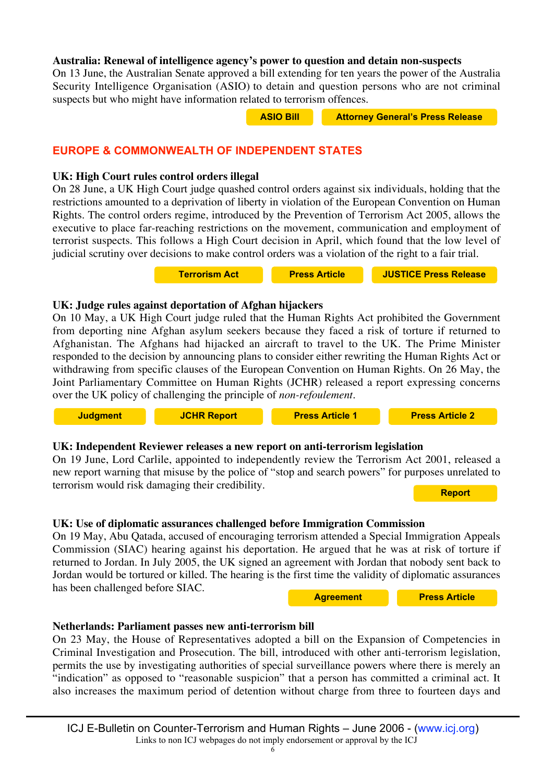### **Australia: Renewal of intelligence agency's power to question and detain non-suspects**

On 13 June, the Australian Senate approved a bill extending for ten years the power of the Australia Security Intelligence Organisation (ASIO) to detain and question persons who are not criminal suspects but who might have information related to terrorism offences.

| <b>ASIO Bill</b><br><b>Attorney General's Press Release</b> |
|-------------------------------------------------------------|
|-------------------------------------------------------------|

**Press News 2**

# **EUROPE & COMMONWEALTH OF INDEPENDENT STATES**

### **UK: High Court rules control orders illegal**

On 28 June, a UK High Court judge quashed control orders against six individuals, holding that the restrictions amounted to a deprivation of liberty in violation of the European Convention on Human Rights. The control orders regime, introduced by the Prevention of Terrorism Act 2005, allows the executive to place far-reaching restrictions on the movement, communication and employment of terrorist suspects. This follows a High Court decision in April, which found that the low level of judicial scrutiny over decisions to make control orders was a violation of the right to a fair trial.

**[Terrorism Act](http://www.opsi.gov.uk/ACTS/acts2005/20050002.htm) [Press Article](http://politics.guardian.co.uk/homeaffairs/story/0,,1808325,00.html) [JUSTICE Press Release](http://www.justice.org.uk/inthenews/index.html)**

# **UK: Judge rules against deportation of Afghan hijackers**

On 10 May, a UK High Court judge ruled that the Human Rights Act prohibited the Government from deporting nine Afghan asylum seekers because they faced a risk of torture if returned to Afghanistan. The Afghans had hijacked an aircraft to travel to the UK. The Prime Minister responded to the decision by announcing plans to consider either rewriting the Human Rights Act or withdrawing from specific clauses of the European Convention on Human Rights. On 26 May, the Joint Parliamentary Committee on Human Rights (JCHR) released a report expressing concerns over the UK policy of challenging the principle of *non-refoulement*.



# **UK: Independent Reviewer releases a new report on anti-terrorism legislation**

On 19 June, Lord Carlile, appointed to independently review the Terrorism Act 2001, released a new report warning that misuse by the police of "stop and search powers" for purposes unrelated to terrorism would risk damaging their credibility. **[Report](http://www.icj.org/IMG/CarlilereportJune.pdf)**

# **UK: Use of diplomatic assurances challenged before Immigration Commission**

On 19 May, Abu Qatada, accused of encouraging terrorism attended a Special Immigration Appeals Commission (SIAC) hearing against his deportation. He argued that he was at risk of torture if returned to Jordan. In July 2005, the UK signed an agreement with Jordan that nobody sent back to Jordan would be tortured or killed. The hearing is the first time the validity of diplomatic assurances has been challenged before SIAC.

**[Press Article](http://news.bbc.co.uk/go/em/fr/-/2/hi/uk_news/4752841.stm) [Agreement](http://news.bbc.co.uk/2/hi/uk_news/4143214.stm)**

**Press News 2**

# **Netherlands: Parliament passes new anti-terrorism bill**

On 23 May, the House of Representatives adopted a bill on the Expansion of Competencies in Criminal Investigation and Prosecution. The bill, introduced with other anti-terrorism legislation, permits the use by investigating authorities of special surveillance powers where there is merely an "indication" as opposed to "reasonable suspicion" that a person has committed a criminal act. It also increases the maximum period of detention without charge from three to fourteen days and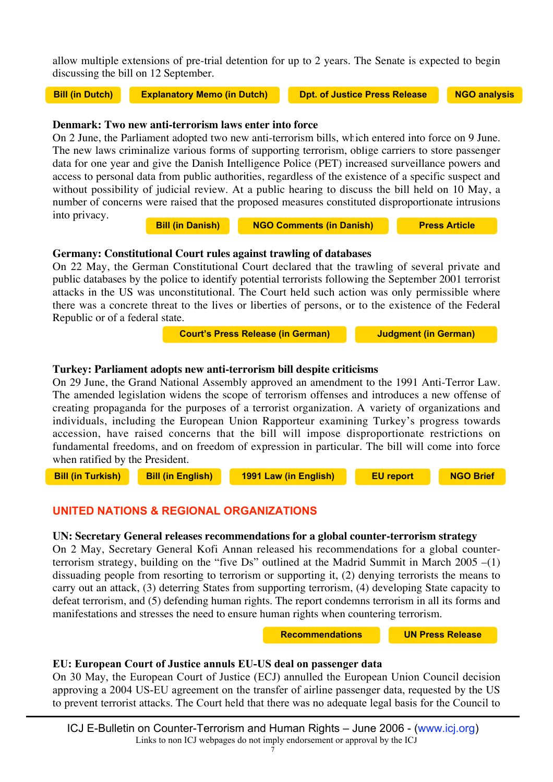allow multiple extensions of pre-trial detention for up to 2 years. The Senate is expected to begin discussing the bill on 12 September.

**[Bill \(in Dutch\)](http://www.icj.org/IMG/DutchBill.pdf) [Explanatory Memo \(in Dutch\)](http://www.icj.org/IMG/DutchBillEM.pdf) [Dpt. of Justice Press Release](http://www.justitie.nl/english/press/press_releases/archive/archive_2006/60528Dutch_Lower_House_passes_second_anti-terrorism_act.asp) [NGO analysis](http://www.icj.org/IMG/DutchupdateJune.pdf)**

### **Denmark: Two new anti-terrorism laws enter into force**

On 2 June, the Parliament adopted two new anti-terrorism bills, w[hich entered into force on 9 June.](http://www.justitie.nl/english/press/press_releases/archive/archive_2006/60528Dutch_Lower_House_passes_second_anti-terrorism_act.asp) The new laws criminalize various forms of supporting terrorism, oblige carriers to store passenger data for one year and give the Danish Intelligence Police (PET) increased surveillance powers and access to personal data from public authorities, regardless of the existence of a specific suspect and without possibility of judicial review. At a public hearing to discuss the bill held on 10 May, a number of concerns were raised that the proposed measures constituted disproportionate intrusions into privacy.

**[Bill \(in Danish\)](http://www.ft.dk/Samling/20051/lovforslag/L217/index.htm) [NGO Comments \(in Danish\)](http://www.ft.dk/Samling/20051/MENU/dok_REU_L217_ALLE.htm) [Press Article](http://www.heraldsun.news.com.au/common/story_page/0,5478,19348319%255E1702,00.html)** 

#### **Germany: Constitutional Court rules against trawling of databases**

On 22 May, the German Constitutional Court declared that the trawling of several private and public databases by the police to identify potential terrorists following the September 2001 terrorist attacks in the US was unconstitutional. The Court held such action was only permissible where there was a concrete threat to the lives or liberties of persons, or to the existence of the Federal Republic or of a federal state.

**[Court's Press Release \(in German\)](http://www.bverfg.de/pressemitteilungen/bvg06-040.html) [Judgment \(in German\)](http://www.bverfg.de/entscheidungen/rs20060404_1bvr051802.html)**

### **Turkey: Parliament adopts new anti-terrorism bill despite criticisms**

On 29 June, the Grand National Assembly approved an amendment to the 1991 Anti-Terror Law. The amended legislation widens the scope of terrorism offenses and introduces a new offense of creating propaganda for the purposes of a terrorist organization. A variety of organizations and individuals, including the European Union Rapporteur examining Turkey's progress towards accession, have raised concerns that the bill will impose disproportionate restrictions on fundamental freedoms, and on freedom of expression in particular. The bill will come into force when ratified by the President.

**[Bill \(in Turkish\)](http://www.antenna-tr.org/mevzuat_devam.asp?feox=2&lgg=tr) [Bill \(in English\)](http://www.antenna-tr.org/mevzuat_devam.asp?feox=2&lgg=en) [1991 Law \(in English\)](http://www.icj.org/IMG/Turkey1991law.pdf) [EU report](http://www.euractiv.com/29/images/Berichtsentwurfber_Tuerkei_EN_tcm29-156249.pdf) [NGO Brief](http://web.amnesty.org/library/Index/ENGEUR440092006)**

# **UNITED NATIONS & REGIONAL ORGANIZATIONS**

# **UN: Secretary General releases recommendations for a global counter-terrorism strategy**

On 2 May, Secretary General Kofi Annan released his recommendations for a global counterterrorism strategy, building on the "five Ds" outlined at the Madrid Summit in March 2005 –(1) dissuading people from resorting to terrorism or supporting it, (2) denying terrorists the means to carry out an attack, (3) deterring States from supporting terrorism, (4) developing State capacity to defeat terrorism, and (5) defending human rights. The report condemns terrorism in all its forms and manifestations and stresses the need to ensure human rights when countering terrorism.

**[Recommendations](http://www.un.org/unitingagainstterrorism/index.html) [UN Press Release](http://www.un.org/apps/news/story.asp?NewsID=18318&Cr=terror&Cr1=)**

# EU: European Court of Justice annuls EU-US deal on passenger data

On 30 May, the European Court of Justice (ECJ) annulled the European Union Council decision approving a 2004 US-EU agreement on the transfer of airline passenger data, requested by the US to prevent terrorist attacks. The Court held that there was no adequate legal basis for the Council to